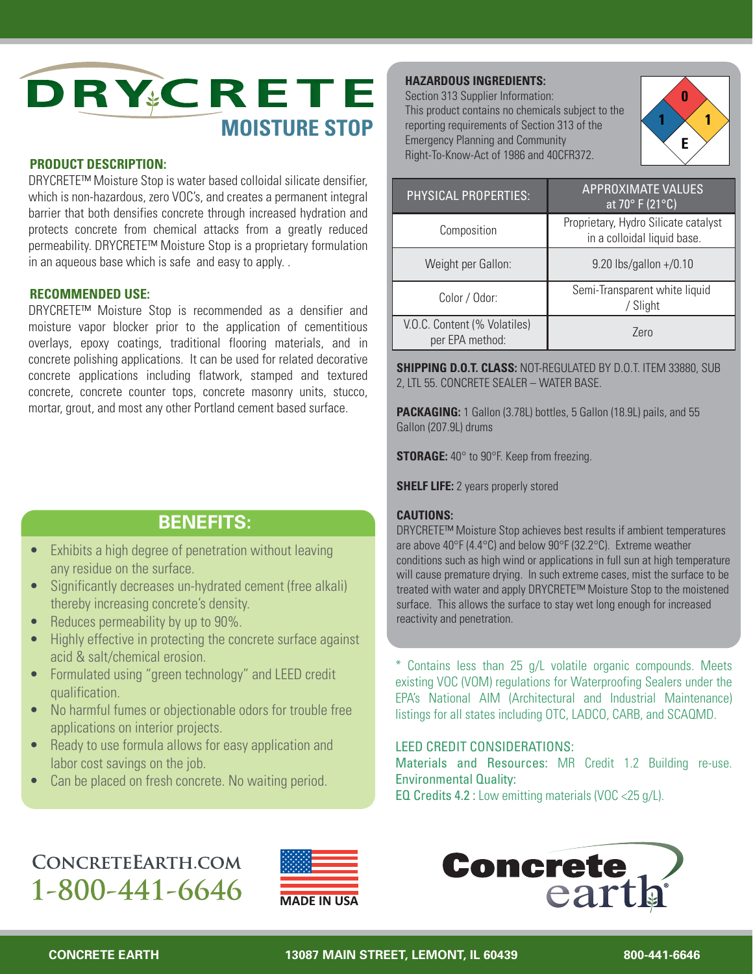

### **PRODUCT DESCRIPTION:**

DRYCRETE™ Moisture Stop is water based colloidal silicate densifier, which is non-hazardous, zero VOC's, and creates a permanent integral barrier that both densifies concrete through increased hydration and protects concrete from chemical attacks from a greatly reduced permeability. DRYCRETE™ Moisture Stop is a proprietary formulation in an aqueous base which is safe and easy to apply. .

### **RECOMMENDED USE:**

DRYCRETE™ Moisture Stop is recommended as a densifier and moisture vapor blocker prior to the application of cementitious overlays, epoxy coatings, traditional flooring materials, and in concrete polishing applications. It can be used for related decorative concrete applications including flatwork, stamped and textured concrete, concrete counter tops, concrete masonry units, stucco, mortar, grout, and most any other Portland cement based surface.

### **BENEFITS:**

- Exhibits a high degree of penetration without leaving any residue on the surface.
- Significantly decreases un-hydrated cement (free alkali) thereby increasing concrete's density.
- Reduces permeability by up to 90%.
- Highly effective in protecting the concrete surface against acid & salt/chemical erosion.
- Formulated using "green technology" and LEED credit qualification.
- No harmful fumes or objectionable odors for trouble free applications on interior projects.
- Ready to use formula allows for easy application and labor cost savings on the job.
- Can be placed on fresh concrete. No waiting period.

### **HAZARDOUS INGREDIENTS:**

Section 313 Supplier Information: This product contains no chemicals subject to the reporting requirements of Section 313 of the Emergency Planning and Community Right-To-Know-Act of 1986 and 40CFR372.



| PHYSICAL PROPERTIES:                            | <b>APPROXIMATE VALUES</b><br>at 70° F (21°C)                        |
|-------------------------------------------------|---------------------------------------------------------------------|
| Composition                                     | Proprietary, Hydro Silicate catalyst<br>in a colloidal liquid base. |
| Weight per Gallon:                              | 9.20 lbs/gallon +/0.10                                              |
| Color / Odor:                                   | Semi-Transparent white liquid<br>/ Slight                           |
| V.O.C. Content (% Volatiles)<br>per EPA method: | Zero                                                                |

**SHIPPING D.O.T. CLASS:** NOT-REGULATED BY D.O.T. ITEM 33880, SUB 2, LTL 55. CONCRETE SEALER – WATER BASE.

**PACKAGING:** 1 Gallon (3.78L) bottles, 5 Gallon (18.9L) pails, and 55 Gallon (207.9L) drums

**STORAGE:** 40° to 90°F. Keep from freezing.

**SHELF LIFE:** 2 years properly stored

#### **CAUTIONS:**

DRYCRETE™ Moisture Stop achieves best results if ambient temperatures are above 40°F (4.4°C) and below 90°F (32.2°C). Extreme weather conditions such as high wind or applications in full sun at high temperature will cause premature drying. In such extreme cases, mist the surface to be treated with water and apply DRYCRETE™ Moisture Stop to the moistened surface. This allows the surface to stay wet long enough for increased reactivity and penetration.

\* Contains less than 25 g/L volatile organic compounds. Meets existing VOC (VOM) regulations for Waterproofing Sealers under the EPA's National AIM (Architectural and Industrial Maintenance) listings for all states including OTC, LADCO, CARB, and SCAQMD.

### LEED CREDIT CONSIDERATIONS:

Materials and Resources: MR Credit 1.2 Building re-use. Environmental Quality:

EQ Credits 4.2 : Low emitting materials (VOC <25 g/L).

## CONCRETEEARTH.COM 1-800-441-6646